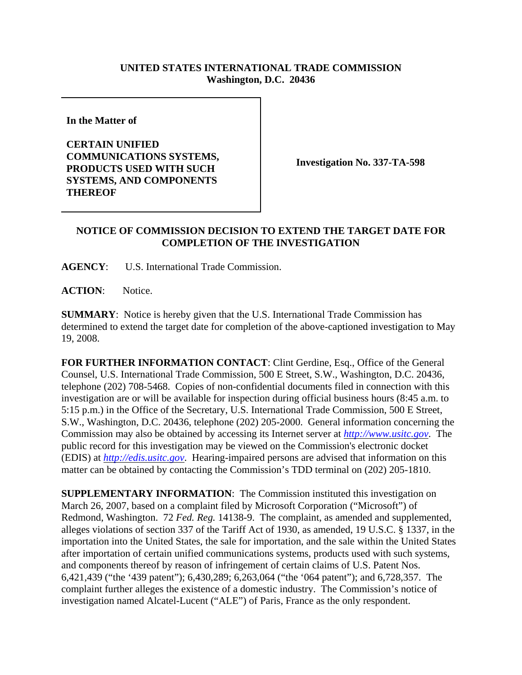## **UNITED STATES INTERNATIONAL TRADE COMMISSION Washington, D.C. 20436**

**In the Matter of** 

**CERTAIN UNIFIED COMMUNICATIONS SYSTEMS, PRODUCTS USED WITH SUCH SYSTEMS, AND COMPONENTS THEREOF**

**Investigation No. 337-TA-598**

## **NOTICE OF COMMISSION DECISION TO EXTEND THE TARGET DATE FOR COMPLETION OF THE INVESTIGATION**

**AGENCY**: U.S. International Trade Commission.

**ACTION**: Notice.

**SUMMARY**: Notice is hereby given that the U.S. International Trade Commission has determined to extend the target date for completion of the above-captioned investigation to May 19, 2008.

**FOR FURTHER INFORMATION CONTACT**: Clint Gerdine, Esq., Office of the General Counsel, U.S. International Trade Commission, 500 E Street, S.W., Washington, D.C. 20436, telephone (202) 708-5468. Copies of non-confidential documents filed in connection with this investigation are or will be available for inspection during official business hours (8:45 a.m. to 5:15 p.m.) in the Office of the Secretary, U.S. International Trade Commission, 500 E Street, S.W., Washington, D.C. 20436, telephone (202) 205-2000. General information concerning the Commission may also be obtained by accessing its Internet server at *http://www.usitc.gov*. The public record for this investigation may be viewed on the Commission's electronic docket (EDIS) at *http://edis.usitc.gov*. Hearing-impaired persons are advised that information on this matter can be obtained by contacting the Commission's TDD terminal on (202) 205-1810.

**SUPPLEMENTARY INFORMATION**: The Commission instituted this investigation on March 26, 2007, based on a complaint filed by Microsoft Corporation ("Microsoft") of Redmond, Washington. 72 *Fed. Reg.* 14138-9. The complaint, as amended and supplemented, alleges violations of section 337 of the Tariff Act of 1930, as amended, 19 U.S.C. § 1337, in the importation into the United States, the sale for importation, and the sale within the United States after importation of certain unified communications systems, products used with such systems, and components thereof by reason of infringement of certain claims of U.S. Patent Nos. 6,421,439 ("the '439 patent"); 6,430,289; 6,263,064 ("the '064 patent"); and 6,728,357. The complaint further alleges the existence of a domestic industry. The Commission's notice of investigation named Alcatel-Lucent ("ALE") of Paris, France as the only respondent.